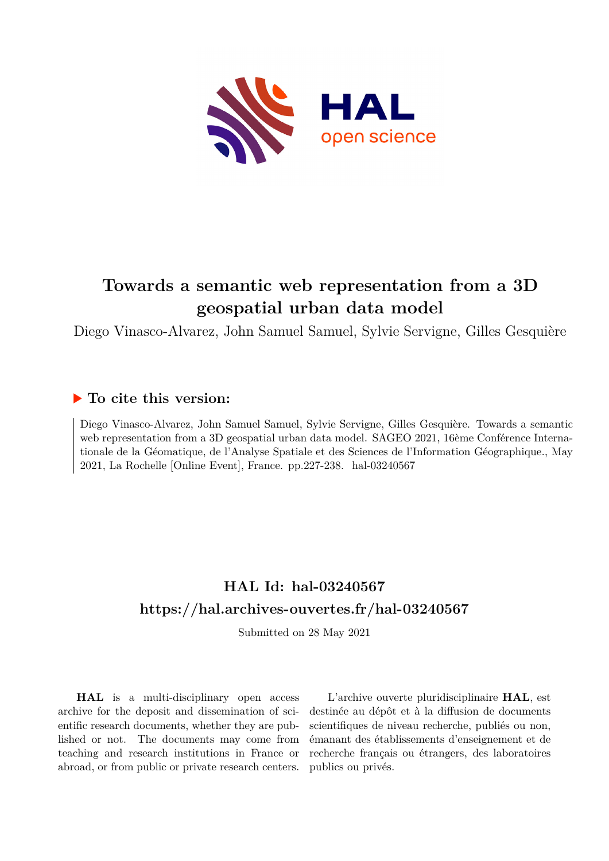

# **Towards a semantic web representation from a 3D geospatial urban data model**

Diego Vinasco-Alvarez, John Samuel Samuel, Sylvie Servigne, Gilles Gesquière

# **To cite this version:**

Diego Vinasco-Alvarez, John Samuel Samuel, Sylvie Servigne, Gilles Gesquière. Towards a semantic web representation from a 3D geospatial urban data model. SAGEO 2021, 16ème Conférence Internationale de la Géomatique, de l'Analyse Spatiale et des Sciences de l'Information Géographique., May 2021, La Rochelle [Online Event], France. pp.227-238. hal-03240567

# **HAL Id: hal-03240567 <https://hal.archives-ouvertes.fr/hal-03240567>**

Submitted on 28 May 2021

**HAL** is a multi-disciplinary open access archive for the deposit and dissemination of scientific research documents, whether they are published or not. The documents may come from teaching and research institutions in France or abroad, or from public or private research centers.

L'archive ouverte pluridisciplinaire **HAL**, est destinée au dépôt et à la diffusion de documents scientifiques de niveau recherche, publiés ou non, émanant des établissements d'enseignement et de recherche français ou étrangers, des laboratoires publics ou privés.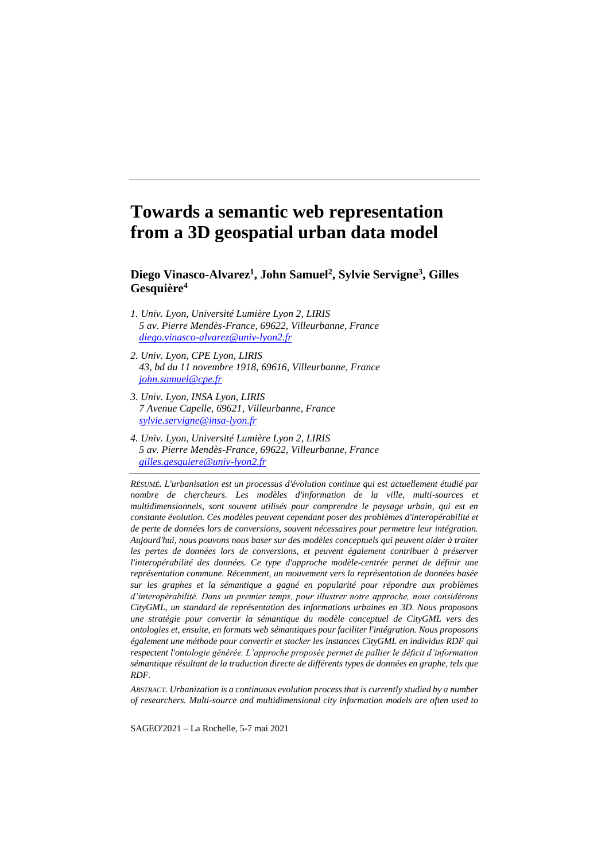# **Towards a semantic web representation from a 3D geospatial urban data model**

**Diego Vinasco-Alvarez<sup>1</sup> , John Samuel<sup>2</sup> , Sylvie Servigne<sup>3</sup> , Gilles Gesquière<sup>4</sup>**

- *1. Univ. Lyon, Université Lumière Lyon 2, LIRIS 5 av. Pierre Mendès-France, 69622, Villeurbanne, France [diego.vinasco-alvarez@univ-lyon2.fr](mailto:diego.vinasco-alvarez@univ-lyon2.fr)*
- *2. Univ. Lyon, CPE Lyon, LIRIS 43, bd du 11 novembre 1918, 69616, Villeurbanne, France [john.samuel@cpe.fr](mailto:john.samuel@cpe.fr)*
- *3. Univ. Lyon, INSA Lyon, LIRIS 7 Avenue Capelle, 69621, Villeurbanne, France [sylvie.servigne@insa-lyon.fr](mailto:sylvie.servigne@insa-lyon.fr)*
- *4. Univ. Lyon, Université Lumière Lyon 2, LIRIS 5 av. Pierre Mendès-France, 69622, Villeurbanne, France [gilles.gesquiere@univ-lyon2.fr](mailto:gilles.gesquiere@univ-lyon2.fr)*

*RÉSUMÉ. L'urbanisation est un processus d'évolution continue qui est actuellement étudié par nombre de chercheurs. Les modèles d'information de la ville, multi-sources et multidimensionnels, sont souvent utilisés pour comprendre le paysage urbain, qui est en constante évolution. Ces modèles peuvent cependant poser des problèmes d'interopérabilité et de perte de données lors de conversions, souvent nécessaires pour permettre leur intégration. Aujourd'hui, nous pouvons nous baser sur des modèles conceptuels qui peuvent aider à traiter les pertes de données lors de conversions, et peuvent également contribuer à préserver l'interopérabilité des données. Ce type d'approche modèle-centrée permet de définir une représentation commune. Récemment, un mouvement vers la représentation de données basée sur les graphes et la sémantique a gagné en popularité pour répondre aux problèmes d'interopérabilité. Dans un premier temps, pour illustrer notre approche, nous considérons CityGML, un standard de représentation des informations urbaines en 3D. Nous proposons une stratégie pour convertir la sémantique du modèle conceptuel de CityGML vers des ontologies et, ensuite, en formats web sémantiques pour faciliter l'intégration. Nous proposons également une méthode pour convertir et stocker les instances CityGML en individus RDF qui respectent l'ontologie générée. L'approche proposée permet de pallier le déficit d'information sémantique résultant de la traduction directe de différents types de données en graphe, tels que RDF.*

*ABSTRACT. Urbanization is a continuous evolution process that is currently studied by a number of researchers. Multi-source and multidimensional city information models are often used to* 

SAGEO'2021 – La Rochelle, 5-7 mai 2021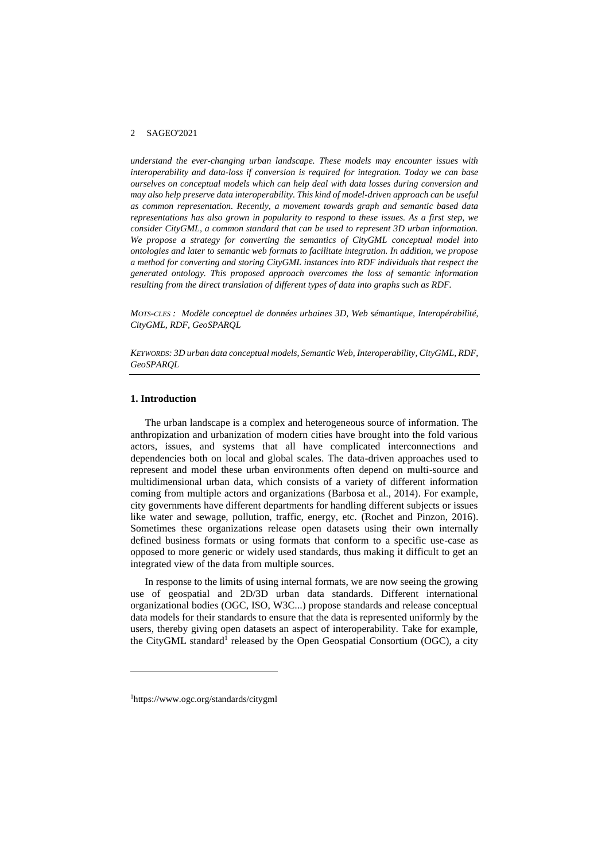*understand the ever-changing urban landscape. These models may encounter issues with interoperability and data-loss if conversion is required for integration. Today we can base ourselves on conceptual models which can help deal with data losses during conversion and may also help preserve data interoperability. This kind of model-driven approach can be useful as common representation. Recently, a movement towards graph and semantic based data representations has also grown in popularity to respond to these issues. As a first step, we consider CityGML, a common standard that can be used to represent 3D urban information. We propose a strategy for converting the semantics of CityGML conceptual model into ontologies and later to semantic web formats to facilitate integration. In addition, we propose a method for converting and storing CityGML instances into RDF individuals that respect the generated ontology. This proposed approach overcomes the loss of semantic information resulting from the direct translation of different types of data into graphs such as RDF.*

*MOTS-CLES : Modèle conceptuel de données urbaines 3D, Web sémantique, Interopérabilité, CityGML, RDF, GeoSPARQL*

*KEYWORDS: 3D urban data conceptual models, Semantic Web, Interoperability, CityGML, RDF, GeoSPARQL*

# **1. Introduction**

The urban landscape is a complex and heterogeneous source of information. The anthropization and urbanization of modern cities have brought into the fold various actors, issues, and systems that all have complicated interconnections and dependencies both on local and global scales. The data-driven approaches used to represent and model these urban environments often depend on multi-source and multidimensional urban data, which consists of a variety of different information coming from multiple actors and organizations (Barbosa et al., 2014). For example, city governments have different departments for handling different subjects or issues like water and sewage, pollution, traffic, energy, etc. (Rochet and Pinzon, 2016). Sometimes these organizations release open datasets using their own internally defined business formats or using formats that conform to a specific use-case as opposed to more generic or widely used standards, thus making it difficult to get an integrated view of the data from multiple sources.

In response to the limits of using internal formats, we are now seeing the growing use of geospatial and 2D/3D urban data standards. Different international organizational bodies (OGC, ISO, W3C...) propose standards and release conceptual data models for their standards to ensure that the data is represented uniformly by the users, thereby giving open datasets an aspect of interoperability. Take for example, the CityGML standard<sup>1</sup> released by the Open Geospatial Consortium (OGC), a city

<sup>1</sup>https://www.ogc.org/standards/citygml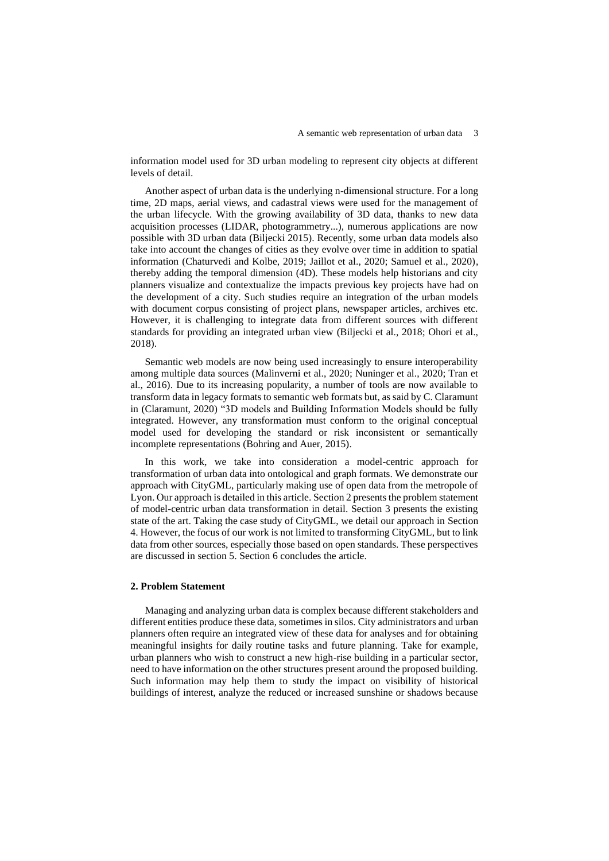information model used for 3D urban modeling to represent city objects at different levels of detail.

Another aspect of urban data is the underlying n-dimensional structure. For a long time, 2D maps, aerial views, and cadastral views were used for the management of the urban lifecycle. With the growing availability of 3D data, thanks to new data acquisition processes (LIDAR, photogrammetry...), numerous applications are now possible with 3D urban data (Biljecki 2015). Recently, some urban data models also take into account the changes of cities as they evolve over time in addition to spatial information (Chaturvedi and Kolbe, 2019; Jaillot et al., 2020; Samuel et al., 2020), thereby adding the temporal dimension (4D). These models help historians and city planners visualize and contextualize the impacts previous key projects have had on the development of a city. Such studies require an integration of the urban models with document corpus consisting of project plans, newspaper articles, archives etc. However, it is challenging to integrate data from different sources with different standards for providing an integrated urban view (Biljecki et al., 2018; Ohori et al., 2018).

Semantic web models are now being used increasingly to ensure interoperability among multiple data sources (Malinverni et al., 2020; Nuninger et al., 2020; Tran et al., 2016). Due to its increasing popularity, a number of tools are now available to transform data in legacy formats to semantic web formats but, as said by C. Claramunt in (Claramunt, 2020) "3D models and Building Information Models should be fully integrated. However, any transformation must conform to the original conceptual model used for developing the standard or risk inconsistent or semantically incomplete representations (Bohring and Auer, 2015).

In this work, we take into consideration a model-centric approach for transformation of urban data into ontological and graph formats. We demonstrate our approach with CityGML, particularly making use of open data from the metropole of Lyon. Our approach is detailed in this article. Section 2 presents the problem statement of model-centric urban data transformation in detail. Section 3 presents the existing state of the art. Taking the case study of CityGML, we detail our approach in Section 4. However, the focus of our work is not limited to transforming CityGML, but to link data from other sources, especially those based on open standards. These perspectives are discussed in section 5. Section 6 concludes the article.

# **2. Problem Statement**

Managing and analyzing urban data is complex because different stakeholders and different entities produce these data, sometimes in silos. City administrators and urban planners often require an integrated view of these data for analyses and for obtaining meaningful insights for daily routine tasks and future planning. Take for example, urban planners who wish to construct a new high-rise building in a particular sector, need to have information on the other structures present around the proposed building. Such information may help them to study the impact on visibility of historical buildings of interest, analyze the reduced or increased sunshine or shadows because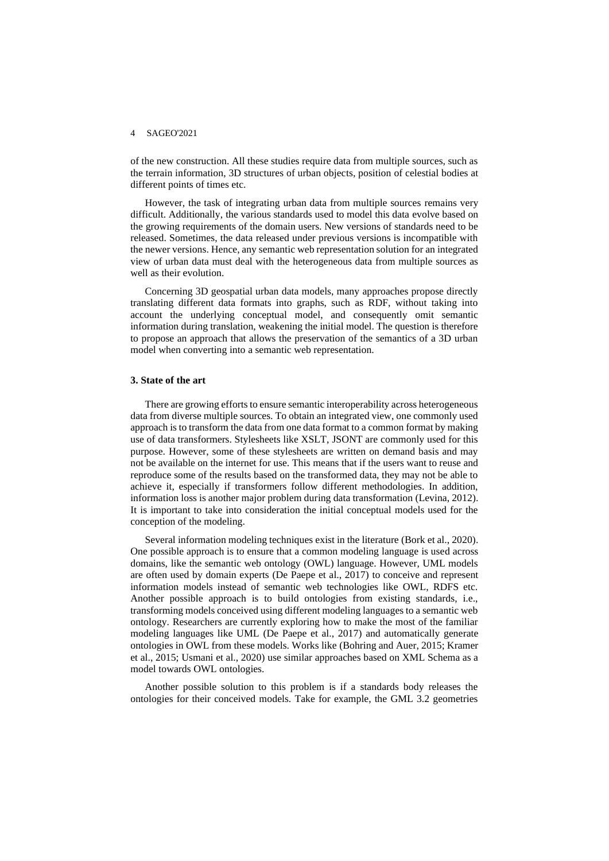of the new construction. All these studies require data from multiple sources, such as the terrain information, 3D structures of urban objects, position of celestial bodies at different points of times etc.

However, the task of integrating urban data from multiple sources remains very difficult. Additionally, the various standards used to model this data evolve based on the growing requirements of the domain users. New versions of standards need to be released. Sometimes, the data released under previous versions is incompatible with the newer versions. Hence, any semantic web representation solution for an integrated view of urban data must deal with the heterogeneous data from multiple sources as well as their evolution.

Concerning 3D geospatial urban data models, many approaches propose directly translating different data formats into graphs, such as RDF, without taking into account the underlying conceptual model, and consequently omit semantic information during translation, weakening the initial model. The question is therefore to propose an approach that allows the preservation of the semantics of a 3D urban model when converting into a semantic web representation.

## **3. State of the art**

There are growing efforts to ensure semantic interoperability across heterogeneous data from diverse multiple sources. To obtain an integrated view, one commonly used approach is to transform the data from one data format to a common format by making use of data transformers. Stylesheets like XSLT, JSONT are commonly used for this purpose. However, some of these stylesheets are written on demand basis and may not be available on the internet for use. This means that if the users want to reuse and reproduce some of the results based on the transformed data, they may not be able to achieve it, especially if transformers follow different methodologies. In addition, information loss is another major problem during data transformation (Levina, 2012). It is important to take into consideration the initial conceptual models used for the conception of the modeling.

Several information modeling techniques exist in the literature (Bork et al., 2020). One possible approach is to ensure that a common modeling language is used across domains, like the semantic web ontology (OWL) language. However, UML models are often used by domain experts (De Paepe et al., 2017) to conceive and represent information models instead of semantic web technologies like OWL, RDFS etc. Another possible approach is to build ontologies from existing standards, i.e., transforming models conceived using different modeling languages to a semantic web ontology. Researchers are currently exploring how to make the most of the familiar modeling languages like UML (De Paepe et al., 2017) and automatically generate ontologies in OWL from these models. Works like (Bohring and Auer, 2015; Kramer et al., 2015; Usmani et al., 2020) use similar approaches based on XML Schema as a model towards OWL ontologies.

Another possible solution to this problem is if a standards body releases the ontologies for their conceived models. Take for example, the GML 3.2 geometries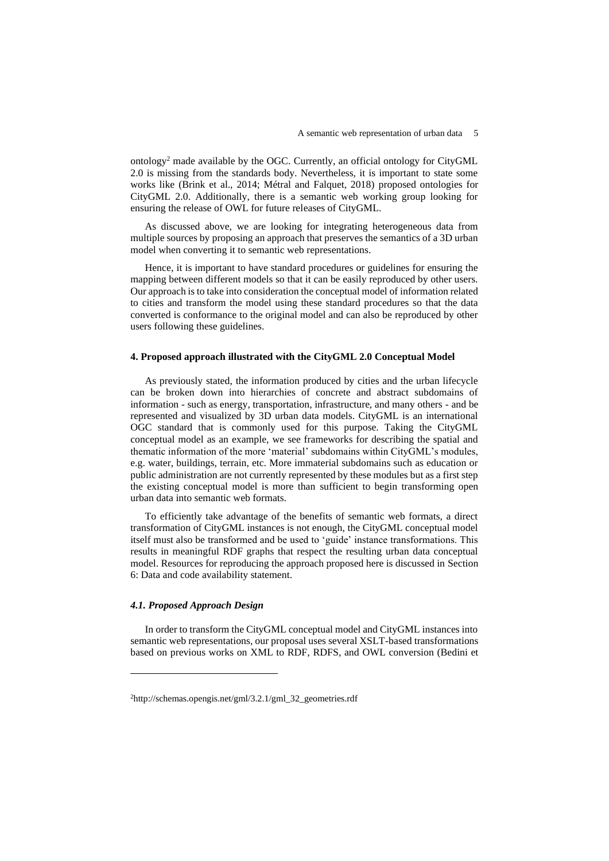ontology<sup>2</sup> made available by the OGC. Currently, an official ontology for CityGML 2.0 is missing from the standards body. Nevertheless, it is important to state some works like (Brink et al., 2014; Métral and Falquet, 2018) proposed ontologies for CityGML 2.0. Additionally, there is a semantic web working group looking for ensuring the release of OWL for future releases of CityGML.

As discussed above, we are looking for integrating heterogeneous data from multiple sources by proposing an approach that preserves the semantics of a 3D urban model when converting it to semantic web representations.

Hence, it is important to have standard procedures or guidelines for ensuring the mapping between different models so that it can be easily reproduced by other users. Our approach is to take into consideration the conceptual model of information related to cities and transform the model using these standard procedures so that the data converted is conformance to the original model and can also be reproduced by other users following these guidelines.

# **4. Proposed approach illustrated with the CityGML 2.0 Conceptual Model**

As previously stated, the information produced by cities and the urban lifecycle can be broken down into hierarchies of concrete and abstract subdomains of information - such as energy, transportation, infrastructure, and many others - and be represented and visualized by 3D urban data models. CityGML is an international OGC standard that is commonly used for this purpose. Taking the CityGML conceptual model as an example, we see frameworks for describing the spatial and thematic information of the more 'material' subdomains within CityGML's modules, e.g. water, buildings, terrain, etc. More immaterial subdomains such as education or public administration are not currently represented by these modules but as a first step the existing conceptual model is more than sufficient to begin transforming open urban data into semantic web formats.

To efficiently take advantage of the benefits of semantic web formats, a direct transformation of CityGML instances is not enough, the CityGML conceptual model itself must also be transformed and be used to 'guide' instance transformations. This results in meaningful RDF graphs that respect the resulting urban data conceptual model. Resources for reproducing the approach proposed here is discussed in Section 6: Data and code availability statement.

### *4.1. Proposed Approach Design*

In order to transform the CityGML conceptual model and CityGML instances into semantic web representations, our proposal uses several XSLT-based transformations based on previous works on XML to RDF, RDFS, and OWL conversion (Bedini et

<sup>2</sup>http://schemas.opengis.net/gml/3.2.1/gml\_32\_geometries.rdf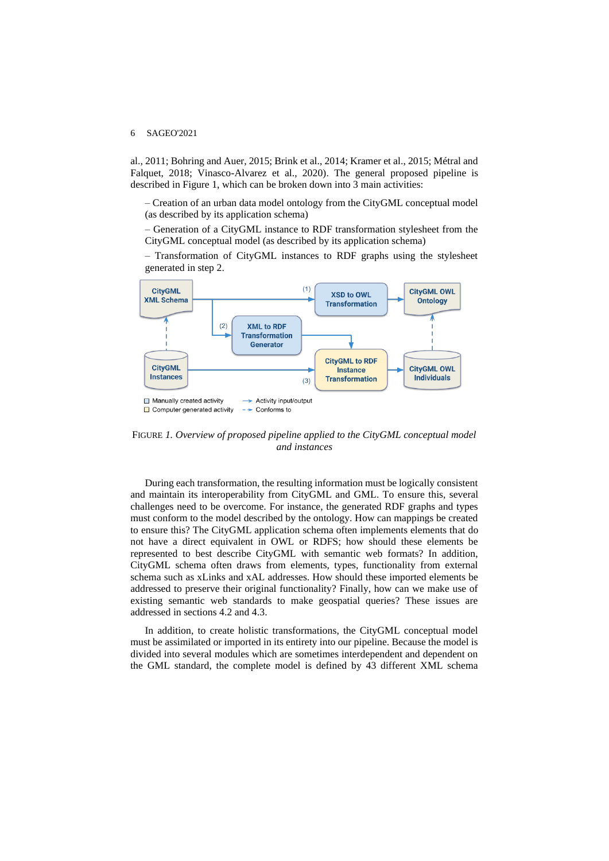al., 2011; Bohring and Auer, 2015; Brink et al., 2014; Kramer et al., 2015; Métral and Falquet, 2018; Vinasco-Alvarez et al., 2020). The general proposed pipeline is described in Figure 1, which can be broken down into 3 main activities:

– Creation of an urban data model ontology from the CityGML conceptual model (as described by its application schema)

– Generation of a CityGML instance to RDF transformation stylesheet from the CityGML conceptual model (as described by its application schema)

– Transformation of CityGML instances to RDF graphs using the stylesheet generated in step 2.



FIGURE *1. Overview of proposed pipeline applied to the CityGML conceptual model and instances*

During each transformation, the resulting information must be logically consistent and maintain its interoperability from CityGML and GML. To ensure this, several challenges need to be overcome. For instance, the generated RDF graphs and types must conform to the model described by the ontology. How can mappings be created to ensure this? The CityGML application schema often implements elements that do not have a direct equivalent in OWL or RDFS; how should these elements be represented to best describe CityGML with semantic web formats? In addition, CityGML schema often draws from elements, types, functionality from external schema such as xLinks and xAL addresses. How should these imported elements be addressed to preserve their original functionality? Finally, how can we make use of existing semantic web standards to make geospatial queries? These issues are addressed in sections 4.2 and 4.3.

In addition, to create holistic transformations, the CityGML conceptual model must be assimilated or imported in its entirety into our pipeline. Because the model is divided into several modules which are sometimes interdependent and dependent on the GML standard, the complete model is defined by 43 different XML schema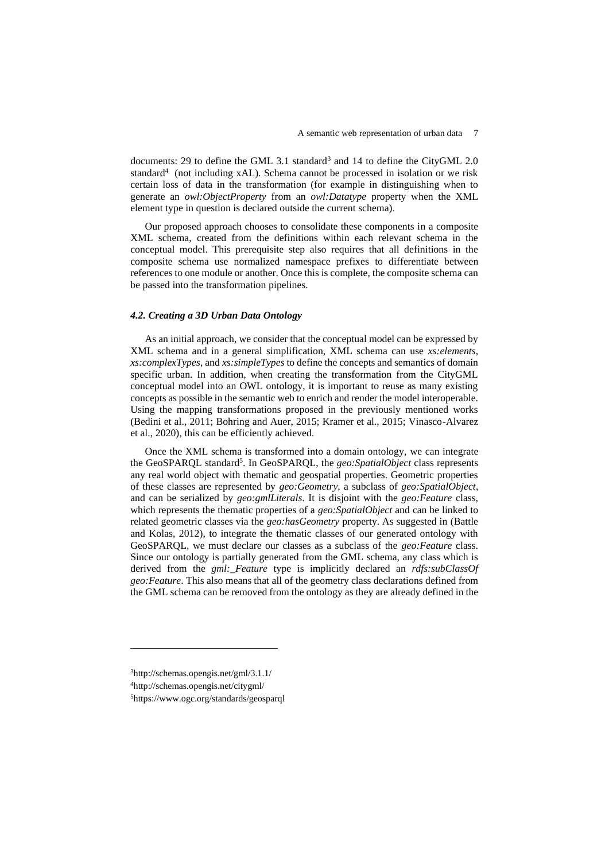documents: 29 to define the GML 3.1 standard<sup>3</sup> and 14 to define the CityGML 2.0 standard<sup>4</sup> (not including xAL). Schema cannot be processed in isolation or we risk certain loss of data in the transformation (for example in distinguishing when to generate an *owl:ObjectProperty* from an *owl:Datatype* property when the XML element type in question is declared outside the current schema).

Our proposed approach chooses to consolidate these components in a composite XML schema, created from the definitions within each relevant schema in the conceptual model. This prerequisite step also requires that all definitions in the composite schema use normalized namespace prefixes to differentiate between references to one module or another. Once this is complete, the composite schema can be passed into the transformation pipelines.

### *4.2. Creating a 3D Urban Data Ontology*

As an initial approach, we consider that the conceptual model can be expressed by XML schema and in a general simplification, XML schema can use *xs:elements*, *xs:complexTypes*, and *xs:simpleTypes* to define the concepts and semantics of domain specific urban. In addition, when creating the transformation from the CityGML conceptual model into an OWL ontology, it is important to reuse as many existing concepts as possible in the semantic web to enrich and render the model interoperable. Using the mapping transformations proposed in the previously mentioned works (Bedini et al., 2011; Bohring and Auer, 2015; Kramer et al., 2015; Vinasco-Alvarez et al., 2020), this can be efficiently achieved.

Once the XML schema is transformed into a domain ontology, we can integrate the GeoSPARQL standard<sup>5</sup>. In GeoSPARQL, the *geo:SpatialObject* class represents any real world object with thematic and geospatial properties. Geometric properties of these classes are represented by *geo:Geometry*, a subclass of *geo:SpatialObject*, and can be serialized by *geo:gmlLiterals*. It is disjoint with the *geo:Feature* class, which represents the thematic properties of a *geo:SpatialObject* and can be linked to related geometric classes via the *geo:hasGeometry* property. As suggested in (Battle and Kolas, 2012), to integrate the thematic classes of our generated ontology with GeoSPARQL, we must declare our classes as a subclass of the *geo:Feature* class. Since our ontology is partially generated from the GML schema, any class which is derived from the *gml:\_Feature* type is implicitly declared an *rdfs:subClassOf geo:Feature*. This also means that all of the geometry class declarations defined from the GML schema can be removed from the ontology as they are already defined in the

<sup>3</sup>http://schemas.opengis.net/gml/3.1.1/ <sup>4</sup>http://schemas.opengis.net/citygml/ 5https://www.ogc.org/standards/geosparql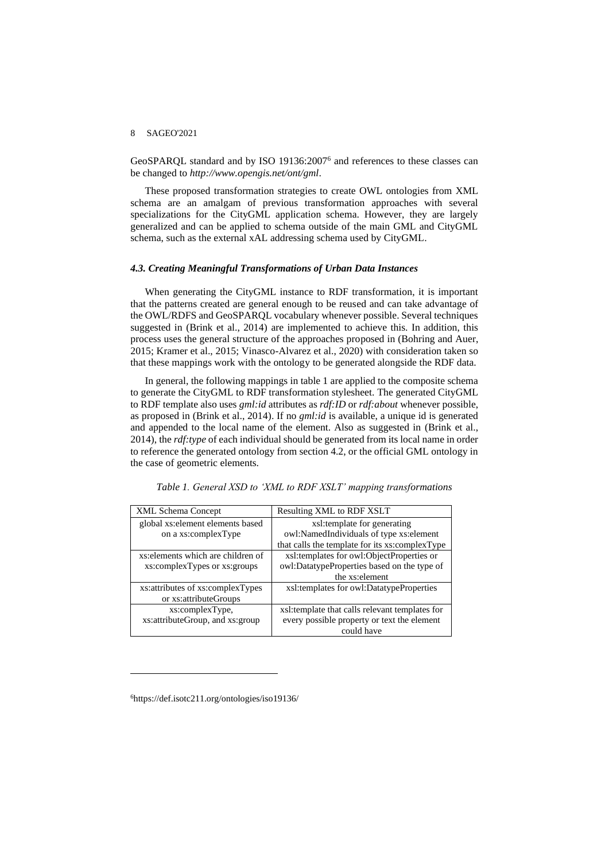GeoSPARQL standard and by ISO 19136:2007<sup>6</sup> and references to these classes can be changed to *http://www.opengis.net/ont/gml*.

These proposed transformation strategies to create OWL ontologies from XML schema are an amalgam of previous transformation approaches with several specializations for the CityGML application schema. However, they are largely generalized and can be applied to schema outside of the main GML and CityGML schema, such as the external xAL addressing schema used by CityGML.

#### *4.3. Creating Meaningful Transformations of Urban Data Instances*

When generating the CityGML instance to RDF transformation, it is important that the patterns created are general enough to be reused and can take advantage of the OWL/RDFS and GeoSPARQL vocabulary whenever possible. Several techniques suggested in (Brink et al., 2014) are implemented to achieve this. In addition, this process uses the general structure of the approaches proposed in (Bohring and Auer, 2015; Kramer et al., 2015; Vinasco-Alvarez et al., 2020) with consideration taken so that these mappings work with the ontology to be generated alongside the RDF data.

In general, the following mappings in table 1 are applied to the composite schema to generate the CityGML to RDF transformation stylesheet. The generated CityGML to RDF template also uses *gml:id* attributes as *rdf:ID* or *rdf:about* whenever possible, as proposed in (Brink et al., 2014). If no *gml:id* is available, a unique id is generated and appended to the local name of the element. Also as suggested in (Brink et al., 2014), the *rdf:type* of each individual should be generated from its local name in order to reference the generated ontology from section 4.2, or the official GML ontology in the case of geometric elements.

| <b>XML Schema Concept</b>          | Resulting XML to RDF XSLT                      |
|------------------------------------|------------------------------------------------|
| global xs: element elements based  | xsl:template for generating                    |
| on a xs:complexType                | owl:NamedIndividuals of type xs:element        |
|                                    | that calls the template for its xs:complexType |
| xs: elements which are children of | xsl:templates for owl:ObjectProperties or      |
| xs:complexTypes or xs:groups       | owl:DatatypeProperties based on the type of    |
|                                    | the xs: element                                |
| xs: attributes of xs: complexTypes | xsl:templates for owl:DatatypeProperties       |
| or xs:attributeGroups              |                                                |
| xs:complexType,                    | xsl:template that calls relevant templates for |
| xs: attribute Group, and xs: group | every possible property or text the element    |
|                                    | could have                                     |

*Table 1. General XSD to 'XML to RDF XSLT' mapping transformations*

<sup>6</sup>https://def.isotc211.org/ontologies/iso19136/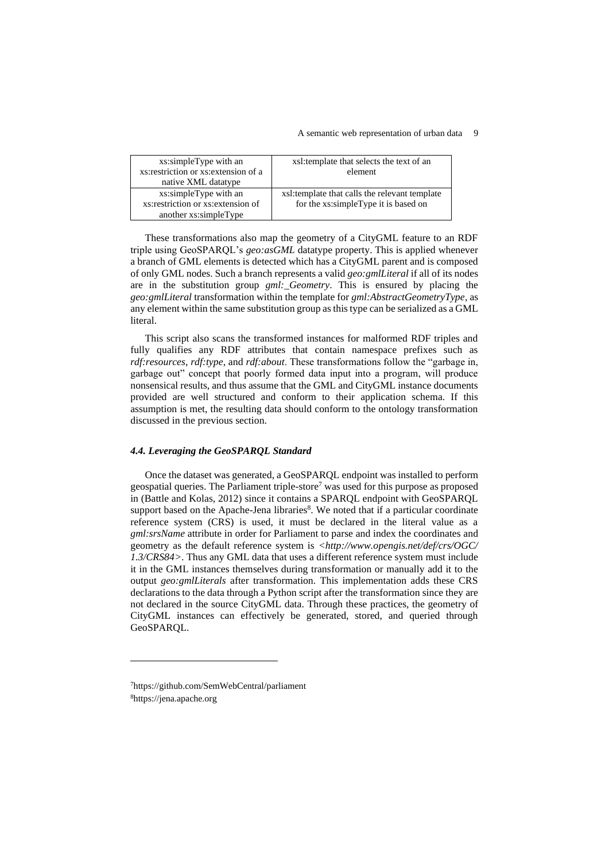#### A semantic web representation of urban data 9

| xs:simpleType with an<br>xs: restriction or xs: extension of a<br>native XML datatype | xsl:template that selects the text of an<br>element                                   |
|---------------------------------------------------------------------------------------|---------------------------------------------------------------------------------------|
| xs:simpleType with an<br>xs: restriction or xs: extension of<br>another xs:simpleType | xsl:template that calls the relevant template<br>for the xs:simpleType it is based on |

These transformations also map the geometry of a CityGML feature to an RDF triple using GeoSPARQL's *geo:asGML* datatype property. This is applied whenever a branch of GML elements is detected which has a CityGML parent and is composed of only GML nodes. Such a branch represents a valid *geo:gmlLiteral* if all of its nodes are in the substitution group *gml:\_Geometry*. This is ensured by placing the *geo:gmlLiteral* transformation within the template for *gml:AbstractGeometryType*, as any element within the same substitution group as this type can be serialized as a GML literal.

This script also scans the transformed instances for malformed RDF triples and fully qualifies any RDF attributes that contain namespace prefixes such as *rdf:resources*, *rdf:type*, and *rdf:about*. These transformations follow the "garbage in, garbage out" concept that poorly formed data input into a program, will produce nonsensical results, and thus assume that the GML and CityGML instance documents provided are well structured and conform to their application schema. If this assumption is met, the resulting data should conform to the ontology transformation discussed in the previous section.

#### *4.4. Leveraging the GeoSPARQL Standard*

Once the dataset was generated, a GeoSPARQL endpoint was installed to perform geospatial queries. The Parliament triple-store<sup>7</sup> was used for this purpose as proposed in (Battle and Kolas, 2012) since it contains a SPARQL endpoint with GeoSPARQL support based on the Apache-Jena libraries $\delta$ . We noted that if a particular coordinate reference system (CRS) is used, it must be declared in the literal value as a *gml:srsName* attribute in order for Parliament to parse and index the coordinates and geometry as the default reference system is *<http://www.opengis.net/def/crs/OGC/ 1.3/CRS84>*. Thus any GML data that uses a different reference system must include it in the GML instances themselves during transformation or manually add it to the output *geo:gmlLiterals* after transformation. This implementation adds these CRS declarations to the data through a Python script after the transformation since they are not declared in the source CityGML data. Through these practices, the geometry of CityGML instances can effectively be generated, stored, and queried through GeoSPARQL.

<sup>7</sup>https://github.com/SemWebCentral/parliament 8https://jena.apache.org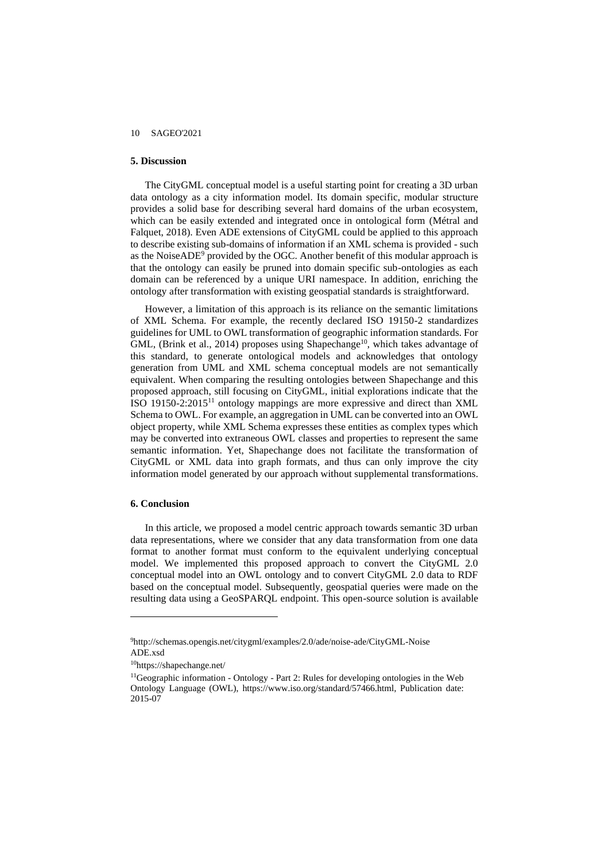### **5. Discussion**

The CityGML conceptual model is a useful starting point for creating a 3D urban data ontology as a city information model. Its domain specific, modular structure provides a solid base for describing several hard domains of the urban ecosystem, which can be easily extended and integrated once in ontological form (Métral and Falquet, 2018). Even ADE extensions of CityGML could be applied to this approach to describe existing sub-domains of information if an XML schema is provided - such as the NoiseADE<sup>9</sup> provided by the OGC. Another benefit of this modular approach is that the ontology can easily be pruned into domain specific sub-ontologies as each domain can be referenced by a unique URI namespace. In addition, enriching the ontology after transformation with existing geospatial standards is straightforward.

However, a limitation of this approach is its reliance on the semantic limitations of XML Schema. For example, the recently declared ISO 19150-2 standardizes guidelines for UML to OWL transformation of geographic information standards. For GML, (Brink et al., 2014) proposes using Shapechange<sup>10</sup>, which takes advantage of this standard, to generate ontological models and acknowledges that ontology generation from UML and XML schema conceptual models are not semantically equivalent. When comparing the resulting ontologies between Shapechange and this proposed approach, still focusing on CityGML, initial explorations indicate that the ISO 19150-2:2015<sup>11</sup> ontology mappings are more expressive and direct than XML Schema to OWL. For example, an aggregation in UML can be converted into an OWL object property, while XML Schema expresses these entities as complex types which may be converted into extraneous OWL classes and properties to represent the same semantic information. Yet, Shapechange does not facilitate the transformation of CityGML or XML data into graph formats, and thus can only improve the city information model generated by our approach without supplemental transformations.

#### **6. Conclusion**

In this article, we proposed a model centric approach towards semantic 3D urban data representations, where we consider that any data transformation from one data format to another format must conform to the equivalent underlying conceptual model. We implemented this proposed approach to convert the CityGML 2.0 conceptual model into an OWL ontology and to convert CityGML 2.0 data to RDF based on the conceptual model. Subsequently, geospatial queries were made on the resulting data using a GeoSPARQL endpoint. This open-source solution is available

<sup>9</sup>http://schemas.opengis.net/citygml/examples/2.0/ade/noise-ade/CityGML-Noise ADE.xsd

<sup>10</sup>https://shapechange.net/

<sup>&</sup>lt;sup>11</sup>Geographic information - Ontology - Part 2: Rules for developing ontologies in the Web Ontology Language (OWL), https://www.iso.org/standard/57466.html, Publication date: 2015-07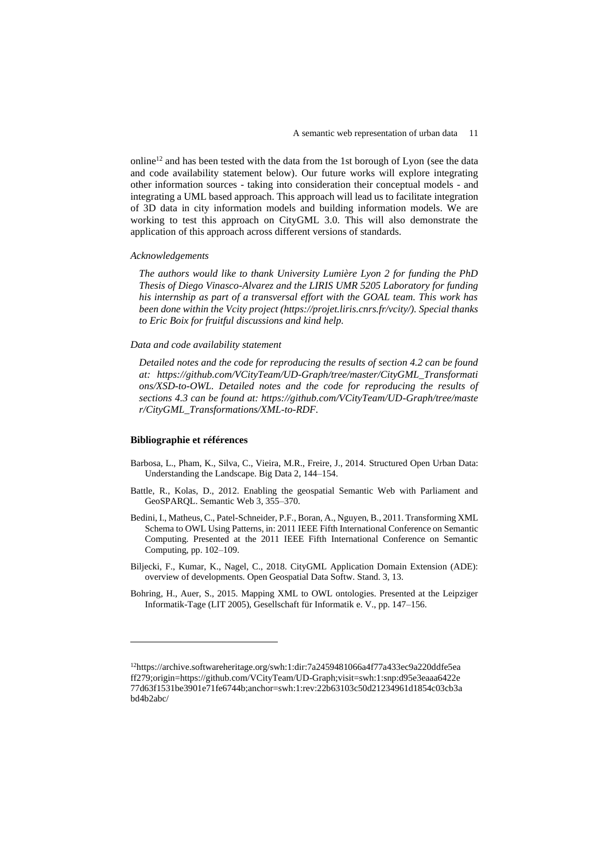online<sup>12</sup> and has been tested with the data from the 1st borough of Lyon (see the data and code availability statement below). Our future works will explore integrating other information sources - taking into consideration their conceptual models - and integrating a UML based approach. This approach will lead us to facilitate integration of 3D data in city information models and building information models. We are working to test this approach on CityGML 3.0. This will also demonstrate the application of this approach across different versions of standards.

#### *Acknowledgements*

*The authors would like to thank University Lumière Lyon 2 for funding the PhD Thesis of Diego Vinasco-Alvarez and the LIRIS UMR 5205 Laboratory for funding his internship as part of a transversal effort with the GOAL team. This work has been done within the Vcity project (https://projet.liris.cnrs.fr/vcity/). Special thanks to Eric Boix for fruitful discussions and kind help.*

*Data and code availability statement*

*Detailed notes and the code for reproducing the results of section 4.2 can be found at: https://github.com/VCityTeam/UD-Graph/tree/master/CityGML\_Transformati ons/XSD-to-OWL. Detailed notes and the code for reproducing the results of sections 4.3 can be found at: https://github.com/VCityTeam/UD-Graph/tree/maste r/CityGML\_Transformations/XML-to-RDF.*

#### **Bibliographie et références**

- Barbosa, L., Pham, K., Silva, C., Vieira, M.R., Freire, J., 2014. Structured Open Urban Data: Understanding the Landscape. Big Data 2, 144–154.
- Battle, R., Kolas, D., 2012. Enabling the geospatial Semantic Web with Parliament and GeoSPARQL. Semantic Web 3, 355–370.
- Bedini, I., Matheus, C., Patel-Schneider, P.F., Boran, A., Nguyen, B., 2011. Transforming XML Schema to OWL Using Patterns, in: 2011 IEEE Fifth International Conference on Semantic Computing. Presented at the 2011 IEEE Fifth International Conference on Semantic Computing, pp. 102–109.
- Biljecki, F., Kumar, K., Nagel, C., 2018. CityGML Application Domain Extension (ADE): overview of developments. Open Geospatial Data Softw. Stand. 3, 13.
- Bohring, H., Auer, S., 2015. Mapping XML to OWL ontologies. Presented at the Leipziger Informatik-Tage (LIT 2005), Gesellschaft für Informatik e. V., pp. 147–156.

<sup>12</sup>https://archive.softwareheritage.org/swh:1:dir:7a2459481066a4f77a433ec9a220ddfe5ea ff279;origin=https://github.com/VCityTeam/UD-Graph;visit=swh:1:snp:d95e3eaaa6422e 77d63f1531be3901e71fe6744b;anchor=swh:1:rev:22b63103c50d21234961d1854c03cb3a bd4b2abc/